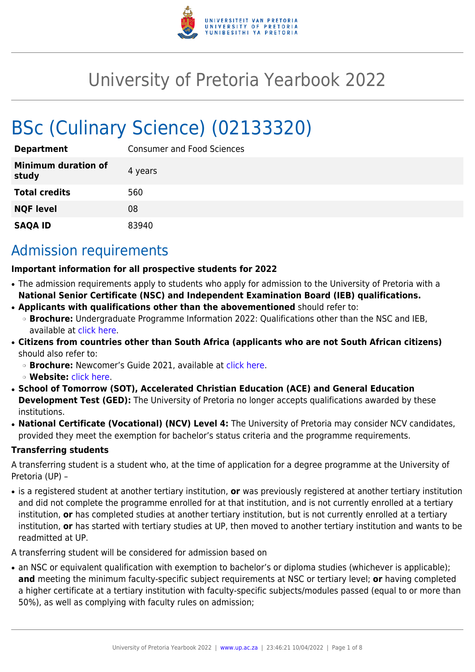

# University of Pretoria Yearbook 2022

# BSc (Culinary Science) (02133320)

| <b>Department</b>                   | <b>Consumer and Food Sciences</b> |
|-------------------------------------|-----------------------------------|
| <b>Minimum duration of</b><br>study | 4 years                           |
| <b>Total credits</b>                | 560                               |
| <b>NQF level</b>                    | 08                                |
| <b>SAQA ID</b>                      | 83940                             |

# Admission requirements

#### **Important information for all prospective students for 2022**

- The admission requirements apply to students who apply for admission to the University of Pretoria with a **National Senior Certificate (NSC) and Independent Examination Board (IEB) qualifications.**
- **Applicants with qualifications other than the abovementioned** should refer to:
- ❍ **Brochure:** Undergraduate Programme Information 2022: Qualifications other than the NSC and IEB, available at [click here.](https://www.up.ac.za/students/article/2749263/admission-information)
- **Citizens from countries other than South Africa (applicants who are not South African citizens)** should also refer to:
	- ❍ **Brochure:** Newcomer's Guide 2021, available at [click here.](https://www.up.ac.za/students/article/2749263/admission-information)
	- ❍ **Website:** [click here](http://www.up.ac.za/international-cooperation-division).
- **School of Tomorrow (SOT), Accelerated Christian Education (ACE) and General Education Development Test (GED):** The University of Pretoria no longer accepts qualifications awarded by these institutions.
- **National Certificate (Vocational) (NCV) Level 4:** The University of Pretoria may consider NCV candidates, provided they meet the exemption for bachelor's status criteria and the programme requirements.

### **Transferring students**

A transferring student is a student who, at the time of application for a degree programme at the University of Pretoria (UP) –

● is a registered student at another tertiary institution, **or** was previously registered at another tertiary institution and did not complete the programme enrolled for at that institution, and is not currently enrolled at a tertiary institution, **or** has completed studies at another tertiary institution, but is not currently enrolled at a tertiary institution, **or** has started with tertiary studies at UP, then moved to another tertiary institution and wants to be readmitted at UP.

A transferring student will be considered for admission based on

• an NSC or equivalent qualification with exemption to bachelor's or diploma studies (whichever is applicable); **and** meeting the minimum faculty-specific subject requirements at NSC or tertiary level; **or** having completed a higher certificate at a tertiary institution with faculty-specific subjects/modules passed (equal to or more than 50%), as well as complying with faculty rules on admission;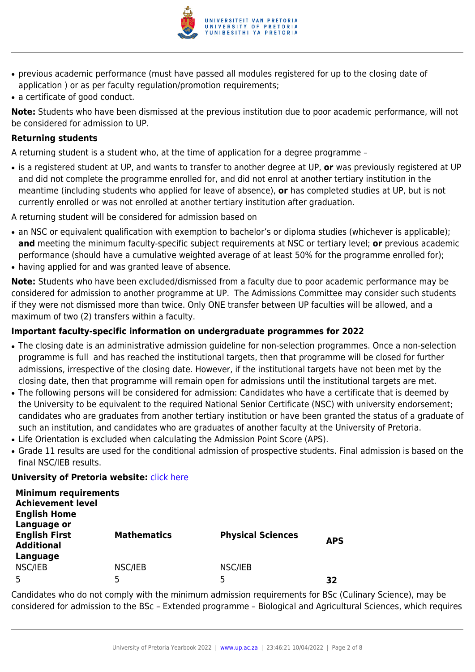

- previous academic performance (must have passed all modules registered for up to the closing date of application ) or as per faculty regulation/promotion requirements;
- a certificate of good conduct.

**Note:** Students who have been dismissed at the previous institution due to poor academic performance, will not be considered for admission to UP.

#### **Returning students**

A returning student is a student who, at the time of application for a degree programme –

● is a registered student at UP, and wants to transfer to another degree at UP, **or** was previously registered at UP and did not complete the programme enrolled for, and did not enrol at another tertiary institution in the meantime (including students who applied for leave of absence), **or** has completed studies at UP, but is not currently enrolled or was not enrolled at another tertiary institution after graduation.

A returning student will be considered for admission based on

- an NSC or equivalent qualification with exemption to bachelor's or diploma studies (whichever is applicable); **and** meeting the minimum faculty-specific subject requirements at NSC or tertiary level; **or** previous academic performance (should have a cumulative weighted average of at least 50% for the programme enrolled for);
- having applied for and was granted leave of absence.

**Note:** Students who have been excluded/dismissed from a faculty due to poor academic performance may be considered for admission to another programme at UP. The Admissions Committee may consider such students if they were not dismissed more than twice. Only ONE transfer between UP faculties will be allowed, and a maximum of two (2) transfers within a faculty.

### **Important faculty-specific information on undergraduate programmes for 2022**

- The closing date is an administrative admission guideline for non-selection programmes. Once a non-selection programme is full and has reached the institutional targets, then that programme will be closed for further admissions, irrespective of the closing date. However, if the institutional targets have not been met by the closing date, then that programme will remain open for admissions until the institutional targets are met.
- The following persons will be considered for admission: Candidates who have a certificate that is deemed by the University to be equivalent to the required National Senior Certificate (NSC) with university endorsement; candidates who are graduates from another tertiary institution or have been granted the status of a graduate of such an institution, and candidates who are graduates of another faculty at the University of Pretoria.
- Life Orientation is excluded when calculating the Admission Point Score (APS).
- Grade 11 results are used for the conditional admission of prospective students. Final admission is based on the final NSC/IEB results.

#### **University of Pretoria website: [click here](http://www.up.ac.za/nas)**

| <b>Minimum requirements</b><br><b>Achievement level</b><br><b>English Home</b> |                    |                          |            |
|--------------------------------------------------------------------------------|--------------------|--------------------------|------------|
| Language or<br><b>English First</b><br><b>Additional</b>                       | <b>Mathematics</b> | <b>Physical Sciences</b> | <b>APS</b> |
| Language<br>NSC/IEB                                                            | NSC/IEB<br>5       | NSC/IEB<br>5             | 32         |

Candidates who do not comply with the minimum admission requirements for BSc (Culinary Science), may be considered for admission to the BSc – Extended programme – Biological and Agricultural Sciences, which requires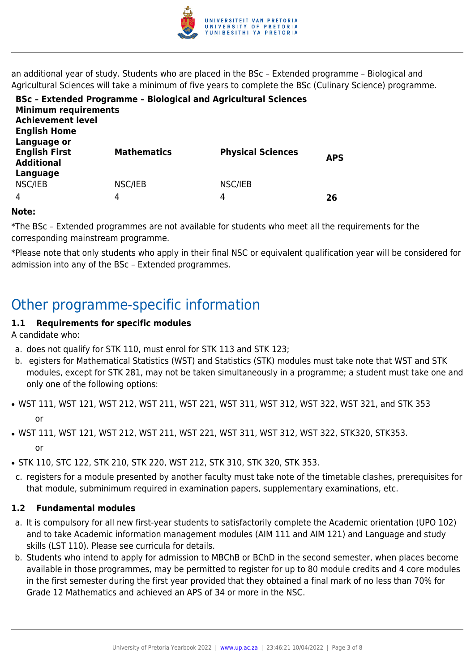

an additional year of study. Students who are placed in the BSc – Extended programme – Biological and Agricultural Sciences will take a minimum of five years to complete the BSc (Culinary Science) programme.

| <b>Minimum requirements</b><br><b>Achievement level</b><br><b>English Home</b> | <b>BSc - Extended Programme - Biological and Agricultural Sciences</b> |                          |            |
|--------------------------------------------------------------------------------|------------------------------------------------------------------------|--------------------------|------------|
| Language or<br><b>English First</b><br><b>Additional</b><br>Language           | <b>Mathematics</b>                                                     | <b>Physical Sciences</b> | <b>APS</b> |
| NSC/IEB                                                                        | NSC/IEB                                                                | NSC/IEB                  |            |
| $\overline{4}$                                                                 | 4                                                                      | 4                        | 26         |

#### **Note:**

\*The BSc – Extended programmes are not available for students who meet all the requirements for the corresponding mainstream programme.

\*Please note that only students who apply in their final NSC or equivalent qualification year will be considered for admission into any of the BSc – Extended programmes.

# Other programme-specific information

### **1.1 Requirements for specific modules**

A candidate who:

- a. does not qualify for STK 110, must enrol for STK 113 and STK 123;
- b. egisters for Mathematical Statistics (WST) and Statistics (STK) modules must take note that WST and STK modules, except for STK 281, may not be taken simultaneously in a programme; a student must take one and only one of the following options:
- WST 111, WST 121, WST 212, WST 211, WST 221, WST 311, WST 312, WST 322, WST 321, and STK 353 or
- WST 111, WST 121, WST 212, WST 211, WST 221, WST 311, WST 312, WST 322, STK320, STK353. or
- STK 110, STC 122, STK 210, STK 220, WST 212, STK 310, STK 320, STK 353.
- c. registers for a module presented by another faculty must take note of the timetable clashes, prerequisites for that module, subminimum required in examination papers, supplementary examinations, etc.

### **1.2 Fundamental modules**

- a. It is compulsory for all new first-year students to satisfactorily complete the Academic orientation (UPO 102) and to take Academic information management modules (AIM 111 and AIM 121) and Language and study skills (LST 110). Please see curricula for details.
- b. Students who intend to apply for admission to MBChB or BChD in the second semester, when places become available in those programmes, may be permitted to register for up to 80 module credits and 4 core modules in the first semester during the first year provided that they obtained a final mark of no less than 70% for Grade 12 Mathematics and achieved an APS of 34 or more in the NSC.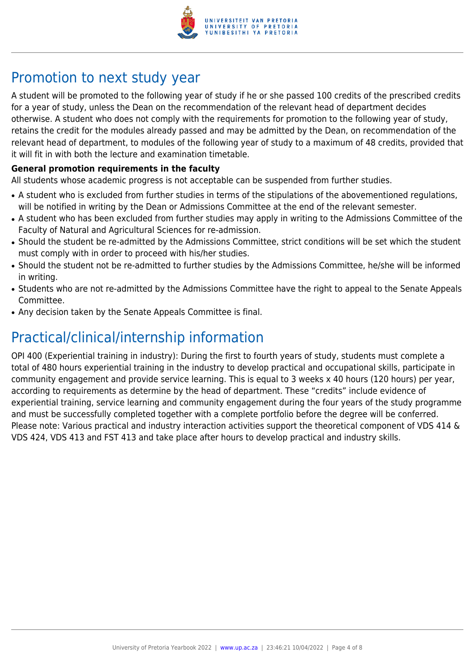

# Promotion to next study year

A student will be promoted to the following year of study if he or she passed 100 credits of the prescribed credits for a year of study, unless the Dean on the recommendation of the relevant head of department decides otherwise. A student who does not comply with the requirements for promotion to the following year of study, retains the credit for the modules already passed and may be admitted by the Dean, on recommendation of the relevant head of department, to modules of the following year of study to a maximum of 48 credits, provided that it will fit in with both the lecture and examination timetable.

#### **General promotion requirements in the faculty**

All students whose academic progress is not acceptable can be suspended from further studies.

- A student who is excluded from further studies in terms of the stipulations of the abovementioned regulations, will be notified in writing by the Dean or Admissions Committee at the end of the relevant semester.
- A student who has been excluded from further studies may apply in writing to the Admissions Committee of the Faculty of Natural and Agricultural Sciences for re-admission.
- Should the student be re-admitted by the Admissions Committee, strict conditions will be set which the student must comply with in order to proceed with his/her studies.
- Should the student not be re-admitted to further studies by the Admissions Committee, he/she will be informed in writing.
- Students who are not re-admitted by the Admissions Committee have the right to appeal to the Senate Appeals Committee.
- Any decision taken by the Senate Appeals Committee is final.

# Practical/clinical/internship information

OPI 400 (Experiential training in industry): During the first to fourth years of study, students must complete a total of 480 hours experiential training in the industry to develop practical and occupational skills, participate in community engagement and provide service learning. This is equal to 3 weeks x 40 hours (120 hours) per year, according to requirements as determine by the head of department. These "credits" include evidence of experiential training, service learning and community engagement during the four years of the study programme and must be successfully completed together with a complete portfolio before the degree will be conferred. Please note: Various practical and industry interaction activities support the theoretical component of VDS 414 & VDS 424, VDS 413 and FST 413 and take place after hours to develop practical and industry skills.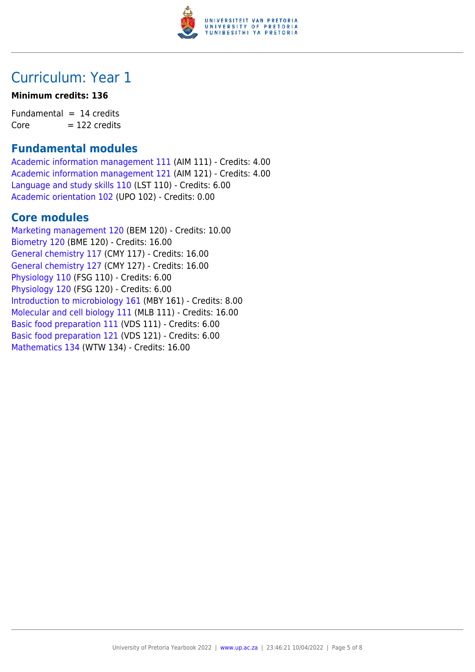

# Curriculum: Year 1

### **Minimum credits: 136**

Fundamental  $= 14$  credits  $Core = 122 \text{ credits}$ 

### **Fundamental modules**

[Academic information management 111](https://www.up.ac.za/yearbooks/2022/modules/view/AIM 111) (AIM 111) - Credits: 4.00 [Academic information management 121](https://www.up.ac.za/yearbooks/2022/modules/view/AIM 121) (AIM 121) - Credits: 4.00 [Language and study skills 110](https://www.up.ac.za/yearbooks/2022/modules/view/LST 110) (LST 110) - Credits: 6.00 [Academic orientation 102](https://www.up.ac.za/yearbooks/2022/modules/view/UPO 102) (UPO 102) - Credits: 0.00

### **Core modules**

[Marketing management 120](https://www.up.ac.za/yearbooks/2022/modules/view/BEM 120) (BEM 120) - Credits: 10.00 [Biometry 120](https://www.up.ac.za/yearbooks/2022/modules/view/BME 120) (BME 120) - Credits: 16.00 [General chemistry 117](https://www.up.ac.za/yearbooks/2022/modules/view/CMY 117) (CMY 117) - Credits: 16.00 [General chemistry 127](https://www.up.ac.za/yearbooks/2022/modules/view/CMY 127) (CMY 127) - Credits: 16.00 [Physiology 110](https://www.up.ac.za/yearbooks/2022/modules/view/FSG 110) (FSG 110) - Credits: 6.00 [Physiology 120](https://www.up.ac.za/yearbooks/2022/modules/view/FSG 120) (FSG 120) - Credits: 6.00 [Introduction to microbiology 161](https://www.up.ac.za/yearbooks/2022/modules/view/MBY 161) (MBY 161) - Credits: 8.00 [Molecular and cell biology 111](https://www.up.ac.za/yearbooks/2022/modules/view/MLB 111) (MLB 111) - Credits: 16.00 [Basic food preparation 111](https://www.up.ac.za/yearbooks/2022/modules/view/VDS 111) (VDS 111) - Credits: 6.00 [Basic food preparation 121](https://www.up.ac.za/yearbooks/2022/modules/view/VDS 121) (VDS 121) - Credits: 6.00 [Mathematics 134](https://www.up.ac.za/yearbooks/2022/modules/view/WTW 134) (WTW 134) - Credits: 16.00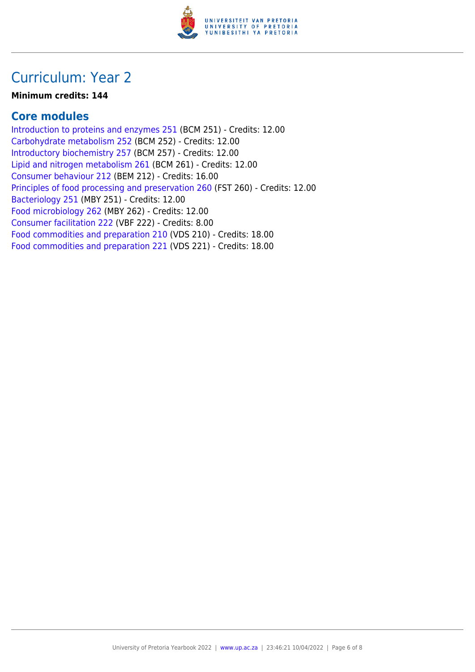

### Curriculum: Year 2

### **Minimum credits: 144**

### **Core modules**

[Introduction to proteins and enzymes 251](https://www.up.ac.za/yearbooks/2022/modules/view/BCM 251) (BCM 251) - Credits: 12.00 [Carbohydrate metabolism 252](https://www.up.ac.za/yearbooks/2022/modules/view/BCM 252) (BCM 252) - Credits: 12.00 [Introductory biochemistry 257](https://www.up.ac.za/yearbooks/2022/modules/view/BCM 257) (BCM 257) - Credits: 12.00 [Lipid and nitrogen metabolism 261](https://www.up.ac.za/yearbooks/2022/modules/view/BCM 261) (BCM 261) - Credits: 12.00 [Consumer behaviour 212](https://www.up.ac.za/yearbooks/2022/modules/view/BEM 212) (BEM 212) - Credits: 16.00 [Principles of food processing and preservation 260](https://www.up.ac.za/yearbooks/2022/modules/view/FST 260) (FST 260) - Credits: 12.00 [Bacteriology 251](https://www.up.ac.za/yearbooks/2022/modules/view/MBY 251) (MBY 251) - Credits: 12.00 [Food microbiology 262](https://www.up.ac.za/yearbooks/2022/modules/view/MBY 262) (MBY 262) - Credits: 12.00 [Consumer facilitation 222](https://www.up.ac.za/yearbooks/2022/modules/view/VBF 222) (VBF 222) - Credits: 8.00 [Food commodities and preparation 210](https://www.up.ac.za/yearbooks/2022/modules/view/VDS 210) (VDS 210) - Credits: 18.00 [Food commodities and preparation 221](https://www.up.ac.za/yearbooks/2022/modules/view/VDS 221) (VDS 221) - Credits: 18.00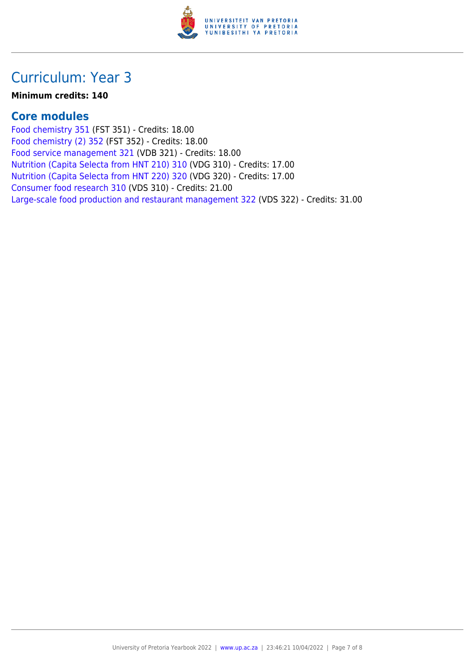

### Curriculum: Year 3

### **Minimum credits: 140**

### **Core modules**

[Food chemistry 351](https://www.up.ac.za/yearbooks/2022/modules/view/FST 351) (FST 351) - Credits: 18.00 [Food chemistry \(2\) 352](https://www.up.ac.za/yearbooks/2022/modules/view/FST 352) (FST 352) - Credits: 18.00 [Food service management 321](https://www.up.ac.za/yearbooks/2022/modules/view/VDB 321) (VDB 321) - Credits: 18.00 [Nutrition \(Capita Selecta from HNT 210\) 310](https://www.up.ac.za/yearbooks/2022/modules/view/VDG 310) (VDG 310) - Credits: 17.00 [Nutrition \(Capita Selecta from HNT 220\) 320](https://www.up.ac.za/yearbooks/2022/modules/view/VDG 320) (VDG 320) - Credits: 17.00 [Consumer food research 310](https://www.up.ac.za/yearbooks/2022/modules/view/VDS 310) (VDS 310) - Credits: 21.00 [Large-scale food production and restaurant management 322](https://www.up.ac.za/yearbooks/2022/modules/view/VDS 322) (VDS 322) - Credits: 31.00